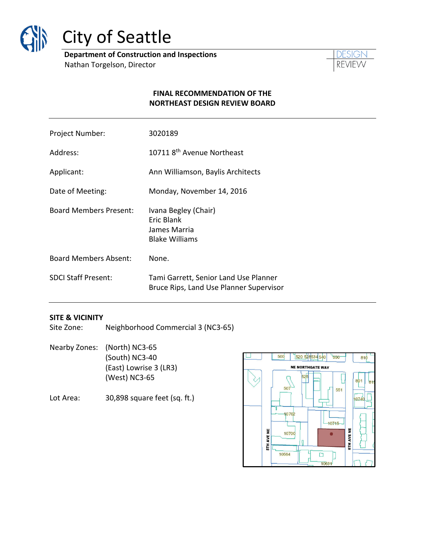

# City of Seattle

**Department of Construction and Inspections** Nathan Torgelson, Director



## **FINAL RECOMMENDATION OF THE NORTHEAST DESIGN REVIEW BOARD**

| Project Number:               | 3020189                                                                          |
|-------------------------------|----------------------------------------------------------------------------------|
| Address:                      | 10711 8 <sup>th</sup> Avenue Northeast                                           |
| Applicant:                    | Ann Williamson, Baylis Architects                                                |
| Date of Meeting:              | Monday, November 14, 2016                                                        |
| <b>Board Members Present:</b> | Ivana Begley (Chair)<br>Eric Blank<br>James Marria<br><b>Blake Williams</b>      |
| <b>Board Members Absent:</b>  | None.                                                                            |
| <b>SDCI Staff Present:</b>    | Tami Garrett, Senior Land Use Planner<br>Bruce Rips, Land Use Planner Supervisor |

## **SITE & VICINITY**

Site Zone: Neighborhood Commercial 3 (NC3-65)

Nearby Zones: (North) NC3-65 (South) NC3-40 (East) Lowrise 3 (LR3) (West) NC3-65

Lot Area: 30,898 square feet (sq. ft.)

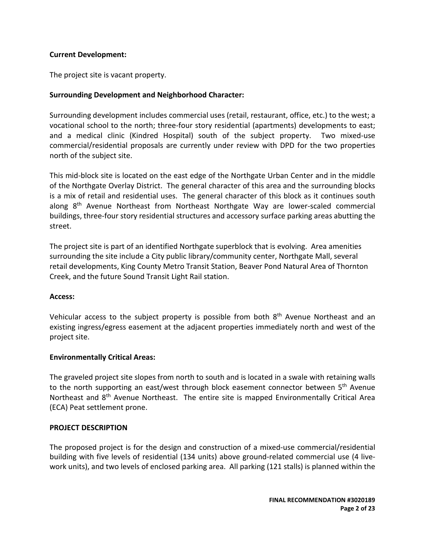## **Current Development:**

The project site is vacant property.

## **Surrounding Development and Neighborhood Character:**

Surrounding development includes commercial uses (retail, restaurant, office, etc.) to the west; a vocational school to the north; three-four story residential (apartments) developments to east; and a medical clinic (Kindred Hospital) south of the subject property. Two mixed-use commercial/residential proposals are currently under review with DPD for the two properties north of the subject site.

This mid-block site is located on the east edge of the Northgate Urban Center and in the middle of the Northgate Overlay District. The general character of this area and the surrounding blocks is a mix of retail and residential uses. The general character of this block as it continues south along 8th Avenue Northeast from Northeast Northgate Way are lower-scaled commercial buildings, three-four story residential structures and accessory surface parking areas abutting the street.

The project site is part of an identified Northgate superblock that is evolving. Area amenities surrounding the site include a City public library/community center, Northgate Mall, several retail developments, King County Metro Transit Station, Beaver Pond Natural Area of Thornton Creek, and the future Sound Transit Light Rail station.

## **Access:**

Vehicular access to the subject property is possible from both 8<sup>th</sup> Avenue Northeast and an existing ingress/egress easement at the adjacent properties immediately north and west of the project site.

## **Environmentally Critical Areas:**

The graveled project site slopes from north to south and is located in a swale with retaining walls to the north supporting an east/west through block easement connector between 5<sup>th</sup> Avenue Northeast and 8th Avenue Northeast. The entire site is mapped Environmentally Critical Area (ECA) Peat settlement prone.

## **PROJECT DESCRIPTION**

The proposed project is for the design and construction of a mixed-use commercial/residential building with five levels of residential (134 units) above ground-related commercial use (4 livework units), and two levels of enclosed parking area. All parking (121 stalls) is planned within the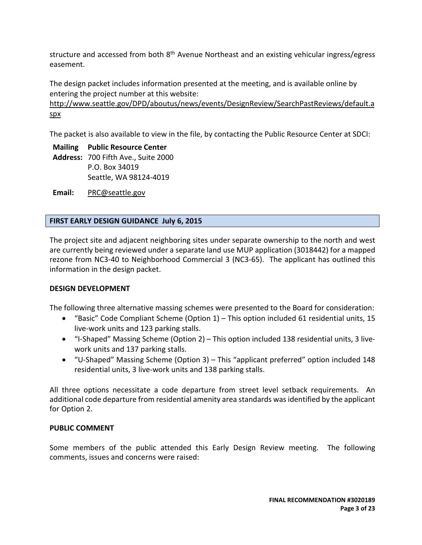structure and accessed from both 8<sup>th</sup> Avenue Northeast and an existing vehicular ingress/egress easement.

The design packet includes information presented at the meeting, and is available online by entering the project number at this website:

[http://www.seattle.gov/DPD/aboutus/news/events/DesignReview/SearchPastReviews/default.a](http://www.seattle.gov/DPD/aboutus/news/events/DesignReview/SearchPastReviews/default.aspx) [spx](http://www.seattle.gov/DPD/aboutus/news/events/DesignReview/SearchPastReviews/default.aspx)

The packet is also available to view in the file, by contacting the Public Resource Center at SDCI:

**Mailing Public Resource Center Address:** 700 Fifth Ave., Suite 2000 P.O. Box 34019 Seattle, WA 98124-4019

**Email:** [PRC@seattle.gov](mailto:PRC@seattle.gov)

## **FIRST EARLY DESIGN GUIDANCE July 6, 2015**

The project site and adjacent neighboring sites under separate ownership to the north and west are currently being reviewed under a separate land use MUP application (3018442) for a mapped rezone from NC3-40 to Neighborhood Commercial 3 (NC3-65). The applicant has outlined this information in the design packet.

#### **DESIGN DEVELOPMENT**

The following three alternative massing schemes were presented to the Board for consideration:

- "Basic" Code Compliant Scheme (Option 1) This option included 61 residential units, 15 live-work units and 123 parking stalls.
- "I-Shaped" Massing Scheme (Option 2) This option included 138 residential units, 3 livework units and 137 parking stalls.
- "U-Shaped" Massing Scheme (Option 3) This "applicant preferred" option included 148 residential units, 3 live-work units and 138 parking stalls.

All three options necessitate a code departure from street level setback requirements. An additional code departure from residential amenity area standards was identified by the applicant for Option 2.

#### **PUBLIC COMMENT**

Some members of the public attended this Early Design Review meeting. The following comments, issues and concerns were raised: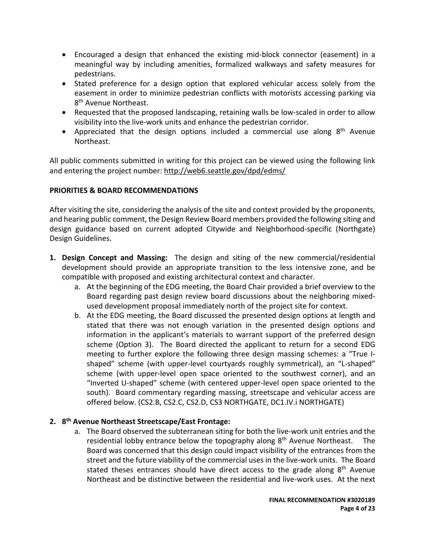- Encouraged a design that enhanced the existing mid-block connector (easement) in a meaningful way by including amenities, formalized walkways and safety measures for pedestrians.
- Stated preference for a design option that explored vehicular access solely from the easement in order to minimize pedestrian conflicts with motorists accessing parking via 8<sup>th</sup> Avenue Northeast.
- Requested that the proposed landscaping, retaining walls be low-scaled in order to allow visibility into the live-work units and enhance the pedestrian corridor.
- Appreciated that the design options included a commercial use along 8<sup>th</sup> Avenue Northeast.

All public comments submitted in writing for this project can be viewed using the following link and entering the project number:<http://web6.seattle.gov/dpd/edms/>

## **PRIORITIES & BOARD RECOMMENDATIONS**

After visiting the site, considering the analysis of the site and context provided by the proponents, and hearing public comment, the Design Review Board members provided the following siting and design guidance based on current adopted Citywide and Neighborhood-specific (Northgate) Design Guidelines.

- **1. Design Concept and Massing:** The design and siting of the new commercial/residential development should provide an appropriate transition to the less intensive zone, and be compatible with proposed and existing architectural context and character.
	- a. At the beginning of the EDG meeting, the Board Chair provided a brief overview to the Board regarding past design review board discussions about the neighboring mixedused development proposal immediately north of the project site for context.
	- b. At the EDG meeting, the Board discussed the presented design options at length and stated that there was not enough variation in the presented design options and information in the applicant's materials to warrant support of the preferred design scheme (Option 3). The Board directed the applicant to return for a second EDG meeting to further explore the following three design massing schemes: a "True Ishaped" scheme (with upper-level courtyards roughly symmetrical), an "L-shaped" scheme (with upper-level open space oriented to the southwest corner), and an "Inverted U-shaped" scheme (with centered upper-level open space oriented to the south). Board commentary regarding massing, streetscape and vehicular access are offered below. (CS2.B, CS2.C, CS2.D, CS3 NORTHGATE, DC1.IV.i NORTHGATE)

# **2. 8th Avenue Northeast Streetscape/East Frontage:**

a. The Board observed the subterranean siting for both the live-work unit entries and the residential lobby entrance below the topography along  $8<sup>th</sup>$  Avenue Northeast. The Board was concerned that this design could impact visibility of the entrances from the street and the future viability of the commercial uses in the live-work units. The Board stated theses entrances should have direct access to the grade along 8<sup>th</sup> Avenue Northeast and be distinctive between the residential and live-work uses. At the next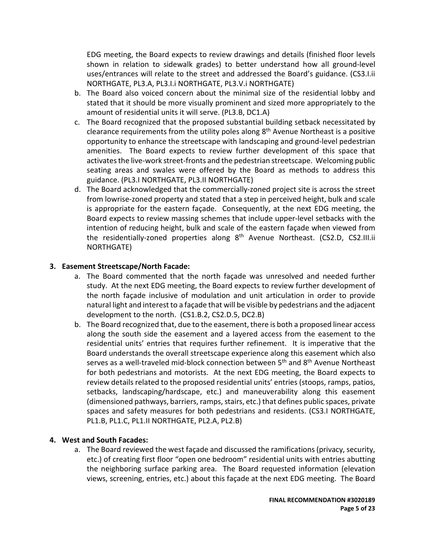EDG meeting, the Board expects to review drawings and details (finished floor levels shown in relation to sidewalk grades) to better understand how all ground-level uses/entrances will relate to the street and addressed the Board's guidance. (CS3.I.ii NORTHGATE, PL3.A, PL3.I.i NORTHGATE, PL3.V.i NORTHGATE)

- b. The Board also voiced concern about the minimal size of the residential lobby and stated that it should be more visually prominent and sized more appropriately to the amount of residential units it will serve. (PL3.B, DC1.A)
- c. The Board recognized that the proposed substantial building setback necessitated by clearance requirements from the utility poles along  $8<sup>th</sup>$  Avenue Northeast is a positive opportunity to enhance the streetscape with landscaping and ground-level pedestrian amenities. The Board expects to review further development of this space that activates the live-work street-fronts and the pedestrian streetscape. Welcoming public seating areas and swales were offered by the Board as methods to address this guidance. (PL3.I NORTHGATE, PL3.II NORTHGATE)
- d. The Board acknowledged that the commercially-zoned project site is across the street from lowrise-zoned property and stated that a step in perceived height, bulk and scale is appropriate for the eastern façade. Consequently, at the next EDG meeting, the Board expects to review massing schemes that include upper-level setbacks with the intention of reducing height, bulk and scale of the eastern façade when viewed from the residentially-zoned properties along 8<sup>th</sup> Avenue Northeast. (CS2.D, CS2.III.ii NORTHGATE)

# **3. Easement Streetscape/North Facade:**

- a. The Board commented that the north façade was unresolved and needed further study. At the next EDG meeting, the Board expects to review further development of the north façade inclusive of modulation and unit articulation in order to provide natural light and interest to a façade that will be visible by pedestrians and the adjacent development to the north. (CS1.B.2, CS2.D.5, DC2.B)
- b. The Board recognized that, due to the easement, there is both a proposed linear access along the south side the easement and a layered access from the easement to the residential units' entries that requires further refinement. It is imperative that the Board understands the overall streetscape experience along this easement which also serves as a well-traveled mid-block connection between 5<sup>th</sup> and 8<sup>th</sup> Avenue Northeast for both pedestrians and motorists. At the next EDG meeting, the Board expects to review details related to the proposed residential units' entries (stoops, ramps, patios, setbacks, landscaping/hardscape, etc.) and maneuverability along this easement (dimensioned pathways, barriers, ramps, stairs, etc.) that defines public spaces, private spaces and safety measures for both pedestrians and residents. (CS3.I NORTHGATE, PL1.B, PL1.C, PL1.II NORTHGATE, PL2.A, PL2.B)

# **4. West and South Facades:**

a. The Board reviewed the west façade and discussed the ramifications (privacy, security, etc.) of creating first floor "open one bedroom" residential units with entries abutting the neighboring surface parking area. The Board requested information (elevation views, screening, entries, etc.) about this façade at the next EDG meeting. The Board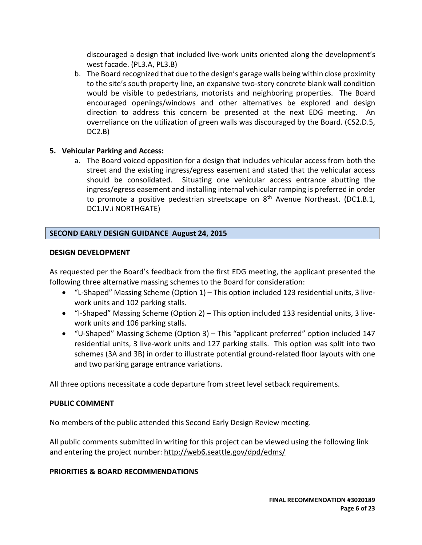discouraged a design that included live-work units oriented along the development's west facade. (PL3.A, PL3.B)

b. The Board recognized that due to the design's garage walls being within close proximity to the site's south property line, an expansive two-story concrete blank wall condition would be visible to pedestrians, motorists and neighboring properties. The Board encouraged openings/windows and other alternatives be explored and design direction to address this concern be presented at the next EDG meeting. An overreliance on the utilization of green walls was discouraged by the Board. (CS2.D.5, DC2.B)

# **5. Vehicular Parking and Access:**

a. The Board voiced opposition for a design that includes vehicular access from both the street and the existing ingress/egress easement and stated that the vehicular access should be consolidated. Situating one vehicular access entrance abutting the ingress/egress easement and installing internal vehicular ramping is preferred in order to promote a positive pedestrian streetscape on  $8<sup>th</sup>$  Avenue Northeast. (DC1.B.1, DC1.IV.i NORTHGATE)

## **SECOND EARLY DESIGN GUIDANCE August 24, 2015**

## **DESIGN DEVELOPMENT**

As requested per the Board's feedback from the first EDG meeting, the applicant presented the following three alternative massing schemes to the Board for consideration:

- "L-Shaped" Massing Scheme (Option 1) This option included 123 residential units, 3 livework units and 102 parking stalls.
- "I-Shaped" Massing Scheme (Option 2) This option included 133 residential units, 3 livework units and 106 parking stalls.
- "U-Shaped" Massing Scheme (Option 3) This "applicant preferred" option included 147 residential units, 3 live-work units and 127 parking stalls. This option was split into two schemes (3A and 3B) in order to illustrate potential ground-related floor layouts with one and two parking garage entrance variations.

All three options necessitate a code departure from street level setback requirements.

## **PUBLIC COMMENT**

No members of the public attended this Second Early Design Review meeting.

All public comments submitted in writing for this project can be viewed using the following link and entering the project number:<http://web6.seattle.gov/dpd/edms/>

## **PRIORITIES & BOARD RECOMMENDATIONS**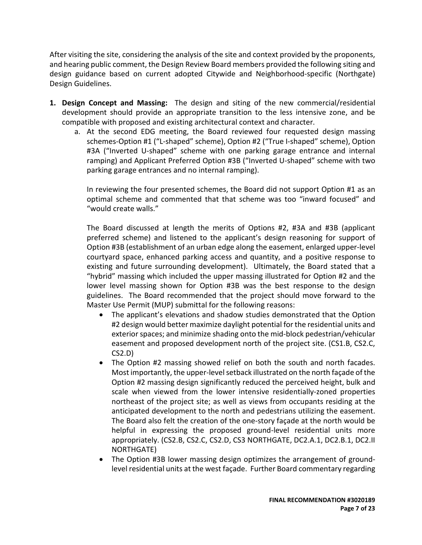After visiting the site, considering the analysis of the site and context provided by the proponents, and hearing public comment, the Design Review Board members provided the following siting and design guidance based on current adopted Citywide and Neighborhood-specific (Northgate) Design Guidelines.

- **1. Design Concept and Massing:** The design and siting of the new commercial/residential development should provide an appropriate transition to the less intensive zone, and be compatible with proposed and existing architectural context and character.
	- a. At the second EDG meeting, the Board reviewed four requested design massing schemes-Option #1 ("L-shaped" scheme), Option #2 ("True I-shaped" scheme), Option #3A ("Inverted U-shaped" scheme with one parking garage entrance and internal ramping) and Applicant Preferred Option #3B ("Inverted U-shaped" scheme with two parking garage entrances and no internal ramping).

In reviewing the four presented schemes, the Board did not support Option #1 as an optimal scheme and commented that that scheme was too "inward focused" and "would create walls."

The Board discussed at length the merits of Options #2, #3A and #3B (applicant preferred scheme) and listened to the applicant's design reasoning for support of Option #3B (establishment of an urban edge along the easement, enlarged upper-level courtyard space, enhanced parking access and quantity, and a positive response to existing and future surrounding development). Ultimately, the Board stated that a "hybrid" massing which included the upper massing illustrated for Option #2 and the lower level massing shown for Option #3B was the best response to the design guidelines. The Board recommended that the project should move forward to the Master Use Permit (MUP) submittal for the following reasons:

- The applicant's elevations and shadow studies demonstrated that the Option #2 design would better maximize daylight potential for the residential units and exterior spaces; and minimize shading onto the mid-block pedestrian/vehicular easement and proposed development north of the project site. (CS1.B, CS2.C, CS2.D)
- The Option #2 massing showed relief on both the south and north facades. Most importantly, the upper-level setback illustrated on the north façade of the Option #2 massing design significantly reduced the perceived height, bulk and scale when viewed from the lower intensive residentially-zoned properties northeast of the project site; as well as views from occupants residing at the anticipated development to the north and pedestrians utilizing the easement. The Board also felt the creation of the one-story façade at the north would be helpful in expressing the proposed ground-level residential units more appropriately. (CS2.B, CS2.C, CS2.D, CS3 NORTHGATE, DC2.A.1, DC2.B.1, DC2.II NORTHGATE)
- The Option #3B lower massing design optimizes the arrangement of groundlevel residential units at the west façade. Further Board commentary regarding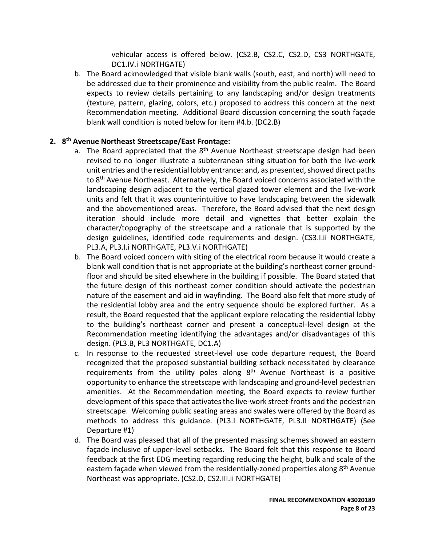vehicular access is offered below. (CS2.B, CS2.C, CS2.D, CS3 NORTHGATE, DC1.IV.i NORTHGATE)

b. The Board acknowledged that visible blank walls (south, east, and north) will need to be addressed due to their prominence and visibility from the public realm. The Board expects to review details pertaining to any landscaping and/or design treatments (texture, pattern, glazing, colors, etc.) proposed to address this concern at the next Recommendation meeting. Additional Board discussion concerning the south façade blank wall condition is noted below for item #4.b. (DC2.B)

# **2. 8th Avenue Northeast Streetscape/East Frontage:**

- a. The Board appreciated that the 8<sup>th</sup> Avenue Northeast streetscape design had been revised to no longer illustrate a subterranean siting situation for both the live-work unit entries and the residential lobby entrance: and, as presented, showed direct paths to 8<sup>th</sup> Avenue Northeast. Alternatively, the Board voiced concerns associated with the landscaping design adjacent to the vertical glazed tower element and the live-work units and felt that it was counterintuitive to have landscaping between the sidewalk and the abovementioned areas. Therefore, the Board advised that the next design iteration should include more detail and vignettes that better explain the character/topography of the streetscape and a rationale that is supported by the design guidelines, identified code requirements and design. (CS3.I.ii NORTHGATE, PL3.A, PL3.I.i NORTHGATE, PL3.V.i NORTHGATE)
- b. The Board voiced concern with siting of the electrical room because it would create a blank wall condition that is not appropriate at the building's northeast corner groundfloor and should be sited elsewhere in the building if possible. The Board stated that the future design of this northeast corner condition should activate the pedestrian nature of the easement and aid in wayfinding. The Board also felt that more study of the residential lobby area and the entry sequence should be explored further. As a result, the Board requested that the applicant explore relocating the residential lobby to the building's northeast corner and present a conceptual-level design at the Recommendation meeting identifying the advantages and/or disadvantages of this design. (PL3.B, PL3 NORTHGATE, DC1.A)
- c. In response to the requested street-level use code departure request, the Board recognized that the proposed substantial building setback necessitated by clearance requirements from the utility poles along  $8<sup>th</sup>$  Avenue Northeast is a positive opportunity to enhance the streetscape with landscaping and ground-level pedestrian amenities. At the Recommendation meeting, the Board expects to review further development of this space that activates the live-work street-fronts and the pedestrian streetscape. Welcoming public seating areas and swales were offered by the Board as methods to address this guidance. (PL3.I NORTHGATE, PL3.II NORTHGATE) (See Departure #1)
- d. The Board was pleased that all of the presented massing schemes showed an eastern façade inclusive of upper-level setbacks. The Board felt that this response to Board feedback at the first EDG meeting regarding reducing the height, bulk and scale of the eastern façade when viewed from the residentially-zoned properties along 8<sup>th</sup> Avenue Northeast was appropriate. (CS2.D, CS2.III.ii NORTHGATE)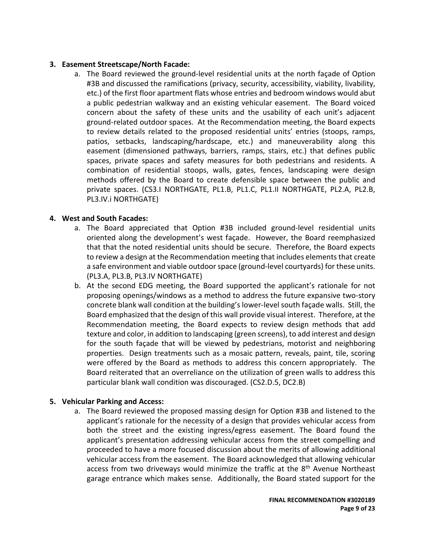# **3. Easement Streetscape/North Facade:**

a. The Board reviewed the ground-level residential units at the north façade of Option #3B and discussed the ramifications (privacy, security, accessibility, viability, livability, etc.) of the first floor apartment flats whose entries and bedroom windows would abut a public pedestrian walkway and an existing vehicular easement. The Board voiced concern about the safety of these units and the usability of each unit's adjacent ground-related outdoor spaces. At the Recommendation meeting, the Board expects to review details related to the proposed residential units' entries (stoops, ramps, patios, setbacks, landscaping/hardscape, etc.) and maneuverability along this easement (dimensioned pathways, barriers, ramps, stairs, etc.) that defines public spaces, private spaces and safety measures for both pedestrians and residents. A combination of residential stoops, walls, gates, fences, landscaping were design methods offered by the Board to create defensible space between the public and private spaces. (CS3.I NORTHGATE, PL1.B, PL1.C, PL1.II NORTHGATE, PL2.A, PL2.B, PL3.IV.i NORTHGATE)

## **4. West and South Facades:**

- a. The Board appreciated that Option #3B included ground-level residential units oriented along the development's west façade. However, the Board reemphasized that that the noted residential units should be secure. Therefore, the Board expects to review a design at the Recommendation meeting that includes elements that create a safe environment and viable outdoor space (ground-level courtyards) for these units. (PL3.A, PL3.B, PL3.IV NORTHGATE)
- b. At the second EDG meeting, the Board supported the applicant's rationale for not proposing openings/windows as a method to address the future expansive two-story concrete blank wall condition at the building's lower-level south façade walls. Still, the Board emphasized that the design of this wall provide visual interest. Therefore, at the Recommendation meeting, the Board expects to review design methods that add texture and color, in addition to landscaping (green screens), to add interest and design for the south façade that will be viewed by pedestrians, motorist and neighboring properties. Design treatments such as a mosaic pattern, reveals, paint, tile, scoring were offered by the Board as methods to address this concern appropriately. The Board reiterated that an overreliance on the utilization of green walls to address this particular blank wall condition was discouraged. (CS2.D.5, DC2.B)

# **5. Vehicular Parking and Access:**

a. The Board reviewed the proposed massing design for Option #3B and listened to the applicant's rationale for the necessity of a design that provides vehicular access from both the street and the existing ingress/egress easement. The Board found the applicant's presentation addressing vehicular access from the street compelling and proceeded to have a more focused discussion about the merits of allowing additional vehicular access from the easement. The Board acknowledged that allowing vehicular access from two driveways would minimize the traffic at the 8<sup>th</sup> Avenue Northeast garage entrance which makes sense. Additionally, the Board stated support for the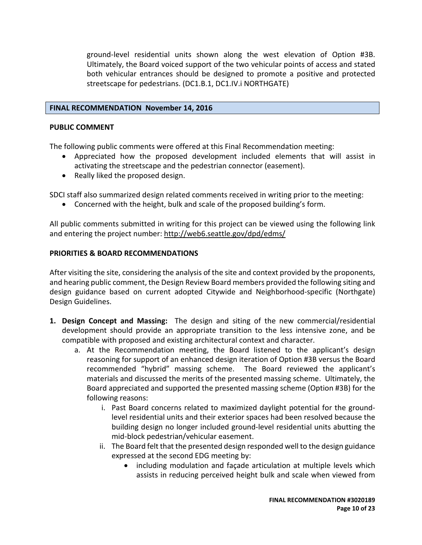ground-level residential units shown along the west elevation of Option #3B. Ultimately, the Board voiced support of the two vehicular points of access and stated both vehicular entrances should be designed to promote a positive and protected streetscape for pedestrians. (DC1.B.1, DC1.IV.i NORTHGATE)

#### **FINAL RECOMMENDATION November 14, 2016**

#### **PUBLIC COMMENT**

The following public comments were offered at this Final Recommendation meeting:

- Appreciated how the proposed development included elements that will assist in activating the streetscape and the pedestrian connector (easement).
- Really liked the proposed design.

SDCI staff also summarized design related comments received in writing prior to the meeting:

• Concerned with the height, bulk and scale of the proposed building's form.

All public comments submitted in writing for this project can be viewed using the following link and entering the project number:<http://web6.seattle.gov/dpd/edms/>

## **PRIORITIES & BOARD RECOMMENDATIONS**

After visiting the site, considering the analysis of the site and context provided by the proponents, and hearing public comment, the Design Review Board members provided the following siting and design guidance based on current adopted Citywide and Neighborhood-specific (Northgate) Design Guidelines.

- **1. Design Concept and Massing:** The design and siting of the new commercial/residential development should provide an appropriate transition to the less intensive zone, and be compatible with proposed and existing architectural context and character.
	- a. At the Recommendation meeting, the Board listened to the applicant's design reasoning for support of an enhanced design iteration of Option #3B versus the Board recommended "hybrid" massing scheme. The Board reviewed the applicant's materials and discussed the merits of the presented massing scheme. Ultimately, the Board appreciated and supported the presented massing scheme (Option #3B) for the following reasons:
		- i. Past Board concerns related to maximized daylight potential for the groundlevel residential units and their exterior spaces had been resolved because the building design no longer included ground-level residential units abutting the mid-block pedestrian/vehicular easement.
		- ii. The Board felt that the presented design responded well to the design guidance expressed at the second EDG meeting by:
			- including modulation and façade articulation at multiple levels which assists in reducing perceived height bulk and scale when viewed from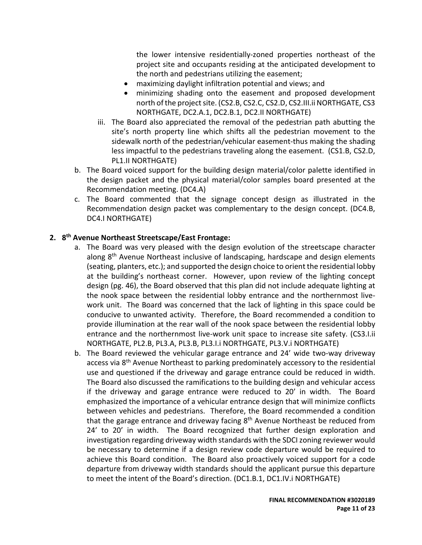the lower intensive residentially-zoned properties northeast of the project site and occupants residing at the anticipated development to the north and pedestrians utilizing the easement;

- maximizing daylight infiltration potential and views; and
- minimizing shading onto the easement and proposed development north of the project site. (CS2.B, CS2.C, CS2.D, CS2.III.ii NORTHGATE, CS3 NORTHGATE, DC2.A.1, DC2.B.1, DC2.II NORTHGATE)
- iii. The Board also appreciated the removal of the pedestrian path abutting the site's north property line which shifts all the pedestrian movement to the sidewalk north of the pedestrian/vehicular easement-thus making the shading less impactful to the pedestrians traveling along the easement. (CS1.B, CS2.D, PL1.II NORTHGATE)
- b. The Board voiced support for the building design material/color palette identified in the design packet and the physical material/color samples board presented at the Recommendation meeting. (DC4.A)
- c. The Board commented that the signage concept design as illustrated in the Recommendation design packet was complementary to the design concept. (DC4.B, DC4.I NORTHGATE)

# **2. 8th Avenue Northeast Streetscape/East Frontage:**

- a. The Board was very pleased with the design evolution of the streetscape character along  $8<sup>th</sup>$  Avenue Northeast inclusive of landscaping, hardscape and design elements (seating, planters, etc.); and supported the design choice to orient the residential lobby at the building's northeast corner. However, upon review of the lighting concept design (pg. 46), the Board observed that this plan did not include adequate lighting at the nook space between the residential lobby entrance and the northernmost livework unit. The Board was concerned that the lack of lighting in this space could be conducive to unwanted activity. Therefore, the Board recommended a condition to provide illumination at the rear wall of the nook space between the residential lobby entrance and the northernmost live-work unit space to increase site safety. (CS3.I.ii NORTHGATE, PL2.B, PL3.A, PL3.B, PL3.I.i NORTHGATE, PL3.V.i NORTHGATE)
- b. The Board reviewed the vehicular garage entrance and 24' wide two-way driveway access via 8<sup>th</sup> Avenue Northeast to parking predominately accessory to the residential use and questioned if the driveway and garage entrance could be reduced in width. The Board also discussed the ramifications to the building design and vehicular access if the driveway and garage entrance were reduced to 20' in width. The Board emphasized the importance of a vehicular entrance design that will minimize conflicts between vehicles and pedestrians. Therefore, the Board recommended a condition that the garage entrance and driveway facing  $8<sup>th</sup>$  Avenue Northeast be reduced from 24' to 20' in width. The Board recognized that further design exploration and investigation regarding driveway width standards with the SDCI zoning reviewer would be necessary to determine if a design review code departure would be required to achieve this Board condition. The Board also proactively voiced support for a code departure from driveway width standards should the applicant pursue this departure to meet the intent of the Board's direction. (DC1.B.1, DC1.IV.i NORTHGATE)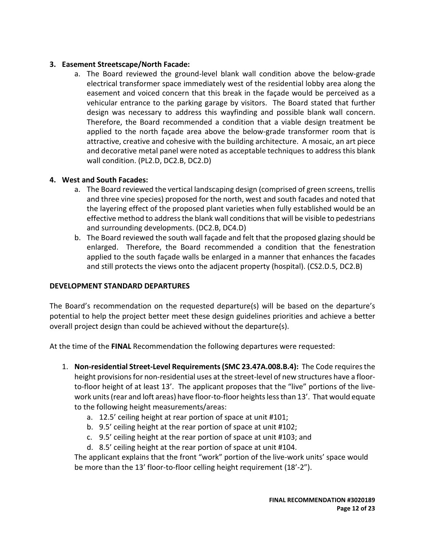# **3. Easement Streetscape/North Facade:**

a. The Board reviewed the ground-level blank wall condition above the below-grade electrical transformer space immediately west of the residential lobby area along the easement and voiced concern that this break in the façade would be perceived as a vehicular entrance to the parking garage by visitors. The Board stated that further design was necessary to address this wayfinding and possible blank wall concern. Therefore, the Board recommended a condition that a viable design treatment be applied to the north façade area above the below-grade transformer room that is attractive, creative and cohesive with the building architecture. A mosaic, an art piece and decorative metal panel were noted as acceptable techniques to address this blank wall condition. (PL2.D, DC2.B, DC2.D)

# **4. West and South Facades:**

- a. The Board reviewed the vertical landscaping design (comprised of green screens, trellis and three vine species) proposed for the north, west and south facades and noted that the layering effect of the proposed plant varieties when fully established would be an effective method to addressthe blank wall conditions that will be visible to pedestrians and surrounding developments. (DC2.B, DC4.D)
- b. The Board reviewed the south wall façade and felt that the proposed glazing should be enlarged. Therefore, the Board recommended a condition that the fenestration applied to the south façade walls be enlarged in a manner that enhances the facades and still protects the views onto the adjacent property (hospital). (CS2.D.5, DC2.B)

# **DEVELOPMENT STANDARD DEPARTURES**

The Board's recommendation on the requested departure(s) will be based on the departure's potential to help the project better meet these design guidelines priorities and achieve a better overall project design than could be achieved without the departure(s).

At the time of the **FINAL** Recommendation the following departures were requested:

- 1. **Non-residential Street-Level Requirements(SMC 23.47A.008.B.4):** The Code requiresthe height provisions for non-residential uses at the street-level of new structures have a floorto-floor height of at least 13'. The applicant proposes that the "live" portions of the livework units (rear and loft areas) have floor-to-floor heights less than 13'. That would equate to the following height measurements/areas:
	- a. 12.5' ceiling height at rear portion of space at unit #101;
	- b. 9.5' ceiling height at the rear portion of space at unit #102;
	- c. 9.5' ceiling height at the rear portion of space at unit #103; and
	- d. 8.5' ceiling height at the rear portion of space at unit #104.

The applicant explains that the front "work" portion of the live-work units' space would be more than the 13' floor-to-floor celling height requirement (18'-2").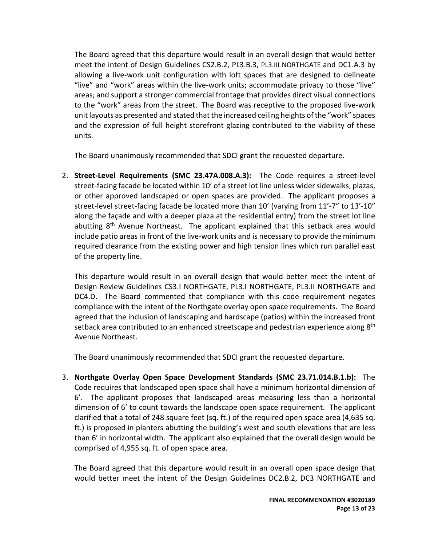The Board agreed that this departure would result in an overall design that would better meet the intent of Design Guidelines CS2.B.2, PL3.B.3, PL3.III NORTHGATE and DC1.A.3 by allowing a live-work unit configuration with loft spaces that are designed to delineate "live" and "work" areas within the live-work units; accommodate privacy to those "live" areas; and support a stronger commercial frontage that provides direct visual connections to the "work" areas from the street. The Board was receptive to the proposed live-work unit layouts as presented and stated that the increased ceiling heights of the "work" spaces and the expression of full height storefront glazing contributed to the viability of these units.

The Board unanimously recommended that SDCI grant the requested departure.

2. **Street-Level Requirements (SMC 23.47A.008.A.3):** The Code requires a street-level street-facing facade be located within 10' of a street lot line unless wider sidewalks, plazas, or other approved landscaped or open spaces are provided. The applicant proposes a street-level street-facing facade be located more than 10' (varying from 11'-7" to 13'-10" along the façade and with a deeper plaza at the residential entry) from the street lot line abutting 8<sup>th</sup> Avenue Northeast. The applicant explained that this setback area would include patio areas in front of the live-work units and is necessary to provide the minimum required clearance from the existing power and high tension lines which run parallel east of the property line.

This departure would result in an overall design that would better meet the intent of Design Review Guidelines CS3.I NORTHGATE, PL3.I NORTHGATE, PL3.II NORTHGATE and DC4.D. The Board commented that compliance with this code requirement negates compliance with the intent of the Northgate overlay open space requirements. The Board agreed that the inclusion of landscaping and hardscape (patios) within the increased front setback area contributed to an enhanced streetscape and pedestrian experience along 8<sup>th</sup> Avenue Northeast.

The Board unanimously recommended that SDCI grant the requested departure.

3. **Northgate Overlay Open Space Development Standards (SMC 23.71.014.B.1.b):** The Code requires that landscaped open space shall have a minimum horizontal dimension of 6'. The applicant proposes that landscaped areas measuring less than a horizontal dimension of 6' to count towards the landscape open space requirement. The applicant clarified that a total of 248 square feet (sq. ft.) of the required open space area (4,635 sq. ft.) is proposed in planters abutting the building's west and south elevations that are less than 6' in horizontal width. The applicant also explained that the overall design would be comprised of 4,955 sq. ft. of open space area.

The Board agreed that this departure would result in an overall open space design that would better meet the intent of the Design Guidelines DC2.B.2, DC3 NORTHGATE and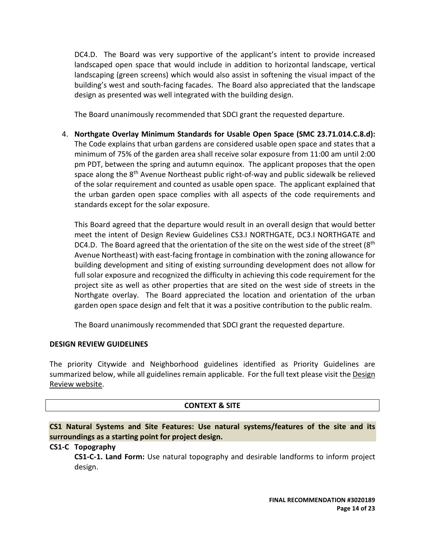DC4.D. The Board was very supportive of the applicant's intent to provide increased landscaped open space that would include in addition to horizontal landscape, vertical landscaping (green screens) which would also assist in softening the visual impact of the building's west and south-facing facades. The Board also appreciated that the landscape design as presented was well integrated with the building design.

The Board unanimously recommended that SDCI grant the requested departure.

4. **Northgate Overlay Minimum Standards for Usable Open Space (SMC 23.71.014.C.8.d):** The Code explains that urban gardens are considered usable open space and states that a minimum of 75% of the garden area shall receive solar exposure from 11:00 am until 2:00 pm PDT, between the spring and autumn equinox. The applicant proposes that the open space along the  $8<sup>th</sup>$  Avenue Northeast public right-of-way and public sidewalk be relieved of the solar requirement and counted as usable open space. The applicant explained that the urban garden open space complies with all aspects of the code requirements and standards except for the solar exposure.

This Board agreed that the departure would result in an overall design that would better meet the intent of Design Review Guidelines CS3.I NORTHGATE, DC3.I NORTHGATE and DC4.D. The Board agreed that the orientation of the site on the west side of the street (8<sup>th</sup> Avenue Northeast) with east-facing frontage in combination with the zoning allowance for building development and siting of existing surrounding development does not allow for full solar exposure and recognized the difficulty in achieving this code requirement for the project site as well as other properties that are sited on the west side of streets in the Northgate overlay. The Board appreciated the location and orientation of the urban garden open space design and felt that it was a positive contribution to the public realm.

The Board unanimously recommended that SDCI grant the requested departure.

# **DESIGN REVIEW GUIDELINES**

The priority Citywide and Neighborhood guidelines identified as Priority Guidelines are summarized below, while all guidelines remain applicable. For the full text please visit the Design [Review website.](https://www.seattle.gov/dpd/aboutus/whoweare/designreview/designguidelines/default.htm)

# **CONTEXT & SITE**

**CS1 Natural Systems and Site Features: Use natural systems/features of the site and its surroundings as a starting point for project design.**

**CS1-C Topography**

**CS1-C-1. Land Form:** Use natural topography and desirable landforms to inform project design.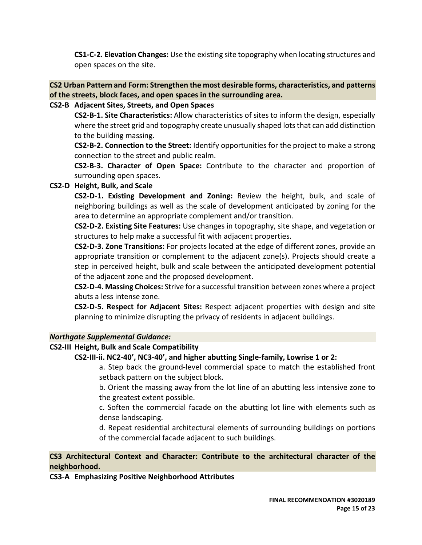**CS1-C-2. Elevation Changes:** Use the existing site topography when locating structures and open spaces on the site.

# **CS2 Urban Pattern and Form: Strengthen the most desirable forms, characteristics, and patterns of the streets, block faces, and open spaces in the surrounding area.**

## **CS2-B Adjacent Sites, Streets, and Open Spaces**

**CS2-B-1. Site Characteristics:** Allow characteristics of sites to inform the design, especially where the street grid and topography create unusually shaped lots that can add distinction to the building massing.

**CS2-B-2. Connection to the Street:** Identify opportunities for the project to make a strong connection to the street and public realm.

**CS2-B-3. Character of Open Space:** Contribute to the character and proportion of surrounding open spaces.

## **CS2-D Height, Bulk, and Scale**

**CS2-D-1. Existing Development and Zoning:** Review the height, bulk, and scale of neighboring buildings as well as the scale of development anticipated by zoning for the area to determine an appropriate complement and/or transition.

**CS2-D-2. Existing Site Features:** Use changes in topography, site shape, and vegetation or structures to help make a successful fit with adjacent properties.

**CS2-D-3. Zone Transitions:** For projects located at the edge of different zones, provide an appropriate transition or complement to the adjacent zone(s). Projects should create a step in perceived height, bulk and scale between the anticipated development potential of the adjacent zone and the proposed development.

**CS2-D-4. Massing Choices:** Strive for a successful transition between zones where a project abuts a less intense zone.

**CS2-D-5. Respect for Adjacent Sites:** Respect adjacent properties with design and site planning to minimize disrupting the privacy of residents in adjacent buildings.

## *Northgate Supplemental Guidance:*

## **CS2-III Height, Bulk and Scale Compatibility**

## **CS2-III-ii. NC2-40', NC3-40', and higher abutting Single-family, Lowrise 1 or 2:**

a. Step back the ground-level commercial space to match the established front setback pattern on the subject block.

b. Orient the massing away from the lot line of an abutting less intensive zone to the greatest extent possible.

c. Soften the commercial facade on the abutting lot line with elements such as dense landscaping.

d. Repeat residential architectural elements of surrounding buildings on portions of the commercial facade adjacent to such buildings.

# **CS3 Architectural Context and Character: Contribute to the architectural character of the neighborhood.**

**CS3-A Emphasizing Positive Neighborhood Attributes**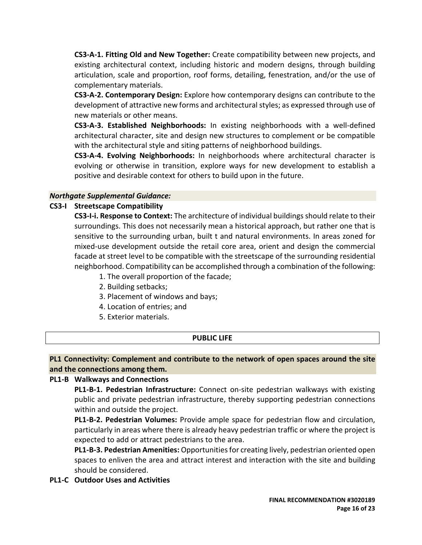**CS3-A-1. Fitting Old and New Together:** Create compatibility between new projects, and existing architectural context, including historic and modern designs, through building articulation, scale and proportion, roof forms, detailing, fenestration, and/or the use of complementary materials.

**CS3-A-2. Contemporary Design:** Explore how contemporary designs can contribute to the development of attractive new forms and architectural styles; as expressed through use of new materials or other means.

**CS3-A-3. Established Neighborhoods:** In existing neighborhoods with a well-defined architectural character, site and design new structures to complement or be compatible with the architectural style and siting patterns of neighborhood buildings.

**CS3-A-4. Evolving Neighborhoods:** In neighborhoods where architectural character is evolving or otherwise in transition, explore ways for new development to establish a positive and desirable context for others to build upon in the future.

## *Northgate Supplemental Guidance:*

#### **CS3-I Streetscape Compatibility**

**CS3-I-i. Response to Context:** The architecture of individual buildings should relate to their surroundings. This does not necessarily mean a historical approach, but rather one that is sensitive to the surrounding urban, built t and natural environments. In areas zoned for mixed-use development outside the retail core area, orient and design the commercial facade at street level to be compatible with the streetscape of the surrounding residential neighborhood. Compatibility can be accomplished through a combination of the following:

- 1. The overall proportion of the facade;
- 2. Building setbacks;
- 3. Placement of windows and bays;
- 4. Location of entries; and
- 5. Exterior materials.

#### **PUBLIC LIFE**

## **PL1 Connectivity: Complement and contribute to the network of open spaces around the site and the connections among them.**

#### **PL1-B Walkways and Connections**

**PL1-B-1. Pedestrian Infrastructure:** Connect on-site pedestrian walkways with existing public and private pedestrian infrastructure, thereby supporting pedestrian connections within and outside the project.

**PL1-B-2. Pedestrian Volumes:** Provide ample space for pedestrian flow and circulation, particularly in areas where there is already heavy pedestrian traffic or where the project is expected to add or attract pedestrians to the area.

**PL1-B-3. Pedestrian Amenities:** Opportunities for creating lively, pedestrian oriented open spaces to enliven the area and attract interest and interaction with the site and building should be considered.

#### **PL1-C Outdoor Uses and Activities**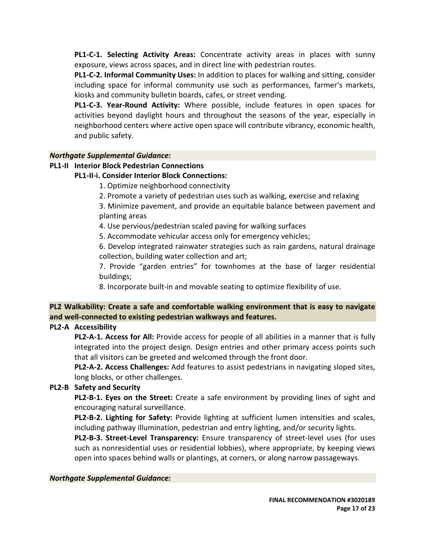**PL1-C-1. Selecting Activity Areas:** Concentrate activity areas in places with sunny exposure, views across spaces, and in direct line with pedestrian routes.

**PL1-C-2. Informal Community Uses:** In addition to places for walking and sitting, consider including space for informal community use such as performances, farmer's markets, kiosks and community bulletin boards, cafes, or street vending.

**PL1-C-3. Year-Round Activity:** Where possible, include features in open spaces for activities beyond daylight hours and throughout the seasons of the year, especially in neighborhood centers where active open space will contribute vibrancy, economic health, and public safety.

## *Northgate Supplemental Guidance:*

## **PL1-II Interior Block Pedestrian Connections**

## **PL1-II-i. Consider Interior Block Connections:**

- 1. Optimize neighborhood connectivity
- 2. Promote a variety of pedestrian uses such as walking, exercise and relaxing

3. Minimize pavement, and provide an equitable balance between pavement and planting areas

4. Use pervious/pedestrian scaled paving for walking surfaces

5. Accommodate vehicular access only for emergency vehicles;

6. Develop integrated rainwater strategies such as rain gardens, natural drainage collection, building water collection and art;

7. Provide "garden entries" for townhomes at the base of larger residential buildings;

8. Incorporate built-in and movable seating to optimize flexibility of use.

# **PL2 Walkability: Create a safe and comfortable walking environment that is easy to navigate and well-connected to existing pedestrian walkways and features.**

# **PL2-A Accessibility**

**PL2-A-1. Access for All:** Provide access for people of all abilities in a manner that is fully integrated into the project design. Design entries and other primary access points such that all visitors can be greeted and welcomed through the front door.

**PL2-A-2. Access Challenges:** Add features to assist pedestrians in navigating sloped sites, long blocks, or other challenges.

# **PL2-B Safety and Security**

**PL2-B-1. Eyes on the Street:** Create a safe environment by providing lines of sight and encouraging natural surveillance.

**PL2-B-2. Lighting for Safety:** Provide lighting at sufficient lumen intensities and scales, including pathway illumination, pedestrian and entry lighting, and/or security lights.

**PL2-B-3. Street-Level Transparency:** Ensure transparency of street-level uses (for uses such as nonresidential uses or residential lobbies), where appropriate, by keeping views open into spaces behind walls or plantings, at corners, or along narrow passageways.

## *Northgate Supplemental Guidance:*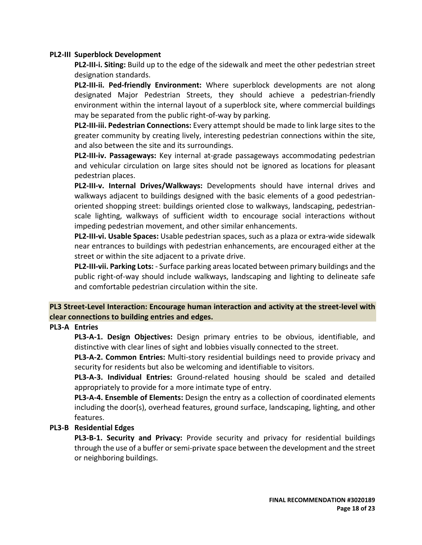## **PL2-III Superblock Development**

**PL2-III-i. Siting:** Build up to the edge of the sidewalk and meet the other pedestrian street designation standards.

**PL2-III-ii. Ped-friendly Environment:** Where superblock developments are not along designated Major Pedestrian Streets, they should achieve a pedestrian-friendly environment within the internal layout of a superblock site, where commercial buildings may be separated from the public right-of-way by parking.

**PL2-III-iii. Pedestrian Connections:** Every attempt should be made to link large sites to the greater community by creating lively, interesting pedestrian connections within the site, and also between the site and its surroundings.

**PL2-III-iv. Passageways:** Key internal at-grade passageways accommodating pedestrian and vehicular circulation on large sites should not be ignored as locations for pleasant pedestrian places.

**PL2-III-v. Internal Drives/Walkways:** Developments should have internal drives and walkways adjacent to buildings designed with the basic elements of a good pedestrianoriented shopping street: buildings oriented close to walkways, landscaping, pedestrianscale lighting, walkways of sufficient width to encourage social interactions without impeding pedestrian movement, and other similar enhancements.

**PL2-III-vi. Usable Spaces:** Usable pedestrian spaces, such as a plaza or extra-wide sidewalk near entrances to buildings with pedestrian enhancements, are encouraged either at the street or within the site adjacent to a private drive.

**PL2-III-vii. Parking Lots:** - Surface parking areas located between primary buildings and the public right-of-way should include walkways, landscaping and lighting to delineate safe and comfortable pedestrian circulation within the site.

# **PL3 Street-Level Interaction: Encourage human interaction and activity at the street-level with clear connections to building entries and edges.**

# **PL3-A Entries**

**PL3-A-1. Design Objectives:** Design primary entries to be obvious, identifiable, and distinctive with clear lines of sight and lobbies visually connected to the street.

**PL3-A-2. Common Entries:** Multi-story residential buildings need to provide privacy and security for residents but also be welcoming and identifiable to visitors.

**PL3-A-3. Individual Entries:** Ground-related housing should be scaled and detailed appropriately to provide for a more intimate type of entry.

**PL3-A-4. Ensemble of Elements:** Design the entry as a collection of coordinated elements including the door(s), overhead features, ground surface, landscaping, lighting, and other features.

# **PL3-B Residential Edges**

**PL3-B-1. Security and Privacy:** Provide security and privacy for residential buildings through the use of a buffer or semi-private space between the development and the street or neighboring buildings.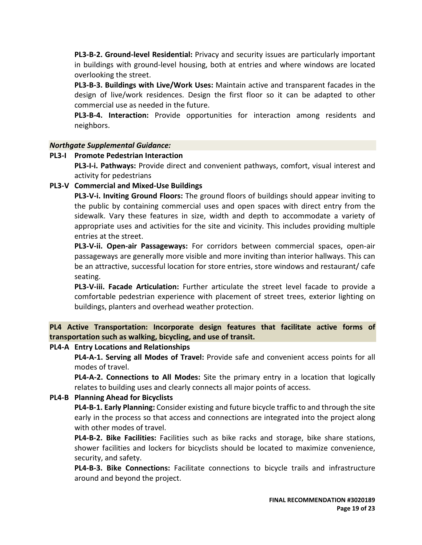**PL3-B-2. Ground-level Residential:** Privacy and security issues are particularly important in buildings with ground-level housing, both at entries and where windows are located overlooking the street.

**PL3-B-3. Buildings with Live/Work Uses:** Maintain active and transparent facades in the design of live/work residences. Design the first floor so it can be adapted to other commercial use as needed in the future.

**PL3-B-4. Interaction:** Provide opportunities for interaction among residents and neighbors.

## *Northgate Supplemental Guidance:*

## **PL3-I Promote Pedestrian Interaction**

**PL3-I-i. Pathways:** Provide direct and convenient pathways, comfort, visual interest and activity for pedestrians

## **PL3-V Commercial and Mixed-Use Buildings**

**PL3-V-i. Inviting Ground Floors:** The ground floors of buildings should appear inviting to the public by containing commercial uses and open spaces with direct entry from the sidewalk. Vary these features in size, width and depth to accommodate a variety of appropriate uses and activities for the site and vicinity. This includes providing multiple entries at the street.

**PL3-V-ii. Open-air Passageways:** For corridors between commercial spaces, open-air passageways are generally more visible and more inviting than interior hallways. This can be an attractive, successful location for store entries, store windows and restaurant/ cafe seating.

**PL3-V-iii. Facade Articulation:** Further articulate the street level facade to provide a comfortable pedestrian experience with placement of street trees, exterior lighting on buildings, planters and overhead weather protection.

**PL4 Active Transportation: Incorporate design features that facilitate active forms of transportation such as walking, bicycling, and use of transit.**

## **PL4-A Entry Locations and Relationships**

**PL4-A-1. Serving all Modes of Travel:** Provide safe and convenient access points for all modes of travel.

**PL4-A-2. Connections to All Modes:** Site the primary entry in a location that logically relates to building uses and clearly connects all major points of access.

# **PL4-B Planning Ahead for Bicyclists**

**PL4-B-1. Early Planning:** Consider existing and future bicycle traffic to and through the site early in the process so that access and connections are integrated into the project along with other modes of travel.

**PL4-B-2. Bike Facilities:** Facilities such as bike racks and storage, bike share stations, shower facilities and lockers for bicyclists should be located to maximize convenience, security, and safety.

**PL4-B-3. Bike Connections:** Facilitate connections to bicycle trails and infrastructure around and beyond the project.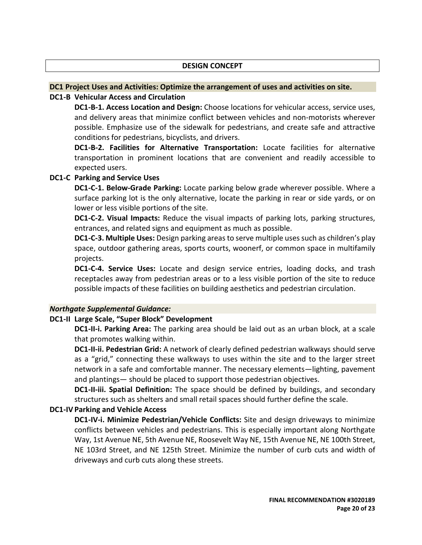#### **DESIGN CONCEPT**

#### **DC1 Project Uses and Activities: Optimize the arrangement of uses and activities on site.**

#### **DC1-B Vehicular Access and Circulation**

**DC1-B-1. Access Location and Design:** Choose locations for vehicular access, service uses, and delivery areas that minimize conflict between vehicles and non-motorists wherever possible. Emphasize use of the sidewalk for pedestrians, and create safe and attractive conditions for pedestrians, bicyclists, and drivers.

**DC1-B-2. Facilities for Alternative Transportation:** Locate facilities for alternative transportation in prominent locations that are convenient and readily accessible to expected users.

#### **DC1-C Parking and Service Uses**

**DC1-C-1. Below-Grade Parking:** Locate parking below grade wherever possible. Where a surface parking lot is the only alternative, locate the parking in rear or side yards, or on lower or less visible portions of the site.

**DC1-C-2. Visual Impacts:** Reduce the visual impacts of parking lots, parking structures, entrances, and related signs and equipment as much as possible.

**DC1-C-3. Multiple Uses:** Design parking areas to serve multiple uses such as children's play space, outdoor gathering areas, sports courts, woonerf, or common space in multifamily projects.

**DC1-C-4. Service Uses:** Locate and design service entries, loading docks, and trash receptacles away from pedestrian areas or to a less visible portion of the site to reduce possible impacts of these facilities on building aesthetics and pedestrian circulation.

#### *Northgate Supplemental Guidance:*

#### **DC1-II Large Scale, "Super Block" Development**

**DC1-II-i. Parking Area:** The parking area should be laid out as an urban block, at a scale that promotes walking within.

**DC1-II-ii. Pedestrian Grid:** A network of clearly defined pedestrian walkways should serve as a "grid," connecting these walkways to uses within the site and to the larger street network in a safe and comfortable manner. The necessary elements—lighting, pavement and plantings— should be placed to support those pedestrian objectives.

**DC1-II-iii. Spatial Definition:** The space should be defined by buildings, and secondary structures such as shelters and small retail spaces should further define the scale.

#### **DC1-IV Parking and Vehicle Access**

**DC1-IV-i. Minimize Pedestrian/Vehicle Conflicts:** Site and design driveways to minimize conflicts between vehicles and pedestrians. This is especially important along Northgate Way, 1st Avenue NE, 5th Avenue NE, Roosevelt Way NE, 15th Avenue NE, NE 100th Street, NE 103rd Street, and NE 125th Street. Minimize the number of curb cuts and width of driveways and curb cuts along these streets.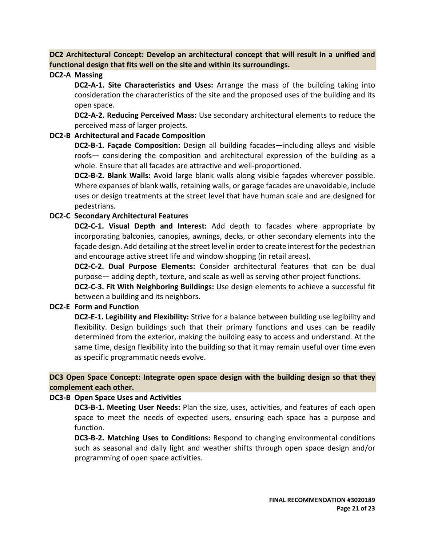**DC2 Architectural Concept: Develop an architectural concept that will result in a unified and functional design that fits well on the site and within its surroundings.**

## **DC2-A Massing**

**DC2-A-1. Site Characteristics and Uses:** Arrange the mass of the building taking into consideration the characteristics of the site and the proposed uses of the building and its open space.

**DC2-A-2. Reducing Perceived Mass:** Use secondary architectural elements to reduce the perceived mass of larger projects.

## **DC2-B Architectural and Facade Composition**

**DC2-B-1. Façade Composition:** Design all building facades—including alleys and visible roofs— considering the composition and architectural expression of the building as a whole. Ensure that all facades are attractive and well-proportioned.

**DC2-B-2. Blank Walls:** Avoid large blank walls along visible façades wherever possible. Where expanses of blank walls, retaining walls, or garage facades are unavoidable, include uses or design treatments at the street level that have human scale and are designed for pedestrians.

## **DC2-C Secondary Architectural Features**

**DC2-C-1. Visual Depth and Interest:** Add depth to facades where appropriate by incorporating balconies, canopies, awnings, decks, or other secondary elements into the façade design. Add detailing at the street level in order to create interest for the pedestrian and encourage active street life and window shopping (in retail areas).

**DC2-C-2. Dual Purpose Elements:** Consider architectural features that can be dual purpose— adding depth, texture, and scale as well as serving other project functions.

**DC2-C-3. Fit With Neighboring Buildings:** Use design elements to achieve a successful fit between a building and its neighbors.

## **DC2-E Form and Function**

**DC2-E-1. Legibility and Flexibility:** Strive for a balance between building use legibility and flexibility. Design buildings such that their primary functions and uses can be readily determined from the exterior, making the building easy to access and understand. At the same time, design flexibility into the building so that it may remain useful over time even as specific programmatic needs evolve.

# **DC3 Open Space Concept: Integrate open space design with the building design so that they complement each other.**

## **DC3-B Open Space Uses and Activities**

**DC3-B-1. Meeting User Needs:** Plan the size, uses, activities, and features of each open space to meet the needs of expected users, ensuring each space has a purpose and function.

**DC3-B-2. Matching Uses to Conditions:** Respond to changing environmental conditions such as seasonal and daily light and weather shifts through open space design and/or programming of open space activities.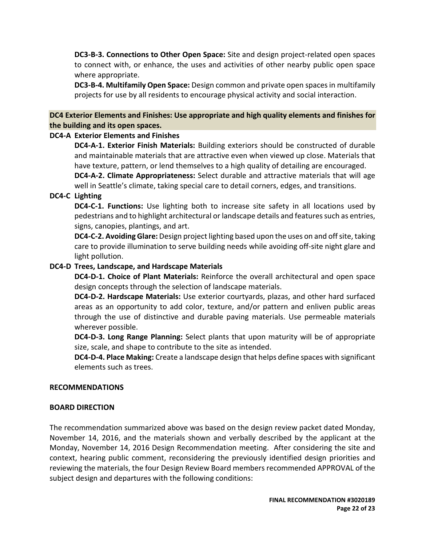**DC3-B-3. Connections to Other Open Space:** Site and design project-related open spaces to connect with, or enhance, the uses and activities of other nearby public open space where appropriate.

**DC3-B-4. Multifamily Open Space:** Design common and private open spaces in multifamily projects for use by all residents to encourage physical activity and social interaction.

# **DC4 Exterior Elements and Finishes: Use appropriate and high quality elements and finishes for the building and its open spaces.**

## **DC4-A Exterior Elements and Finishes**

**DC4-A-1. Exterior Finish Materials:** Building exteriors should be constructed of durable and maintainable materials that are attractive even when viewed up close. Materials that have texture, pattern, or lend themselves to a high quality of detailing are encouraged.

**DC4-A-2. Climate Appropriateness:** Select durable and attractive materials that will age well in Seattle's climate, taking special care to detail corners, edges, and transitions.

# **DC4-C Lighting**

**DC4-C-1. Functions:** Use lighting both to increase site safety in all locations used by pedestrians and to highlight architectural or landscape details and features such as entries, signs, canopies, plantings, and art.

**DC4-C-2. Avoiding Glare:** Design project lighting based upon the uses on and off site, taking care to provide illumination to serve building needs while avoiding off-site night glare and light pollution.

# **DC4-D Trees, Landscape, and Hardscape Materials**

**DC4-D-1. Choice of Plant Materials:** Reinforce the overall architectural and open space design concepts through the selection of landscape materials.

**DC4-D-2. Hardscape Materials:** Use exterior courtyards, plazas, and other hard surfaced areas as an opportunity to add color, texture, and/or pattern and enliven public areas through the use of distinctive and durable paving materials. Use permeable materials wherever possible.

**DC4-D-3. Long Range Planning:** Select plants that upon maturity will be of appropriate size, scale, and shape to contribute to the site as intended.

**DC4-D-4. Place Making:** Create a landscape design that helps define spaces with significant elements such as trees.

## **RECOMMENDATIONS**

## **BOARD DIRECTION**

The recommendation summarized above was based on the design review packet dated Monday, November 14, 2016, and the materials shown and verbally described by the applicant at the Monday, November 14, 2016 Design Recommendation meeting. After considering the site and context, hearing public comment, reconsidering the previously identified design priorities and reviewing the materials, the four Design Review Board members recommended APPROVAL of the subject design and departures with the following conditions: